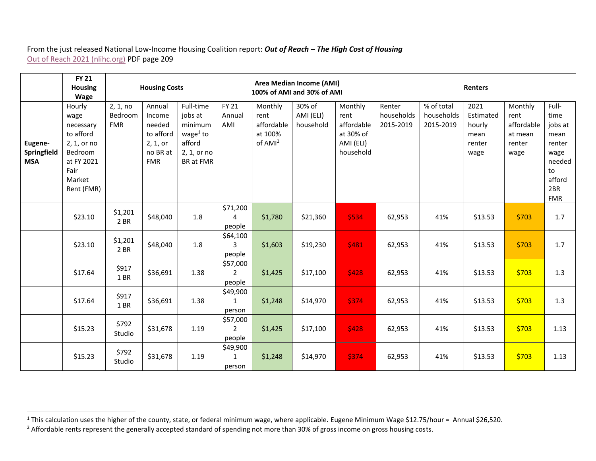## From the just released National Low-Income Housing Coalition report: *Out of Reach – The High Cost of Housing* [Out of Reach 2021 \(nlihc.org\)](https://nlihc.org/sites/default/files/oor/2021/Out-of-Reach_2021.pdf) PDF page 209

|                                      | <b>FY 21</b><br><b>Housing</b><br><b>Wage</b>                                                                    | <b>Housing Costs</b>              |                                                                               |                                                                                      | Area Median Income (AMI)<br>100% of AMI and 30% of AMI |                                                                 |                                  |                                                                      | <b>Renters</b>                    |                                       |                                                       |                                                            |                                                                                                   |
|--------------------------------------|------------------------------------------------------------------------------------------------------------------|-----------------------------------|-------------------------------------------------------------------------------|--------------------------------------------------------------------------------------|--------------------------------------------------------|-----------------------------------------------------------------|----------------------------------|----------------------------------------------------------------------|-----------------------------------|---------------------------------------|-------------------------------------------------------|------------------------------------------------------------|---------------------------------------------------------------------------------------------------|
| Eugene-<br>Springfield<br><b>MSA</b> | Hourly<br>wage<br>necessary<br>to afford<br>2, 1, or no<br>Bedroom<br>at FY 2021<br>Fair<br>Market<br>Rent (FMR) | 2, 1, no<br>Bedroom<br><b>FMR</b> | Annual<br>Income<br>needed<br>to afford<br>2, 1, or<br>no BR at<br><b>FMR</b> | Full-time<br>jobs at<br>minimum<br>wage $1$ to<br>afford<br>2, 1, or no<br>BR at FMR | <b>FY 21</b><br>Annual<br>AMI                          | Monthly<br>rent<br>affordable<br>at 100%<br>of AMI <sup>2</sup> | 30% of<br>AMI (ELI)<br>household | Monthly<br>rent<br>affordable<br>at 30% of<br>AMI (ELI)<br>household | Renter<br>households<br>2015-2019 | % of total<br>households<br>2015-2019 | 2021<br>Estimated<br>hourly<br>mean<br>renter<br>wage | Monthly<br>rent<br>affordable<br>at mean<br>renter<br>wage | Full-<br>time<br>jobs at<br>mean<br>renter<br>wage<br>needed<br>to<br>afford<br>2BR<br><b>FMR</b> |
|                                      | \$23.10                                                                                                          | \$1,201<br>2 BR                   | \$48,040                                                                      | 1.8                                                                                  | \$71,200<br>4<br>people                                | \$1,780                                                         | \$21,360                         | \$534                                                                | 62,953                            | 41%                                   | \$13.53                                               | \$703                                                      | 1.7                                                                                               |
|                                      | \$23.10                                                                                                          | \$1,201<br>2 BR                   | \$48,040                                                                      | 1.8                                                                                  | \$64,100<br>3<br>people                                | \$1,603                                                         | \$19,230                         | 5481                                                                 | 62,953                            | 41%                                   | \$13.53                                               | \$703                                                      | 1.7                                                                                               |
|                                      | \$17.64                                                                                                          | \$917<br>1 BR                     | \$36,691                                                                      | 1.38                                                                                 | \$57,000<br>$\overline{2}$<br>people                   | \$1,425                                                         | \$17,100                         | \$428                                                                | 62,953                            | 41%                                   | \$13.53                                               | \$703                                                      | 1.3                                                                                               |
|                                      | \$17.64                                                                                                          | \$917<br>1BR                      | \$36,691                                                                      | 1.38                                                                                 | \$49,900<br>1<br>person                                | \$1,248                                                         | \$14,970                         | \$374                                                                | 62,953                            | 41%                                   | \$13.53                                               | \$703                                                      | 1.3                                                                                               |
|                                      | \$15.23                                                                                                          | \$792<br>Studio                   | \$31,678                                                                      | 1.19                                                                                 | \$57,000<br>$\overline{2}$<br>people                   | \$1,425                                                         | \$17,100                         | \$428                                                                | 62,953                            | 41%                                   | \$13.53                                               | \$703                                                      | 1.13                                                                                              |
|                                      | \$15.23                                                                                                          | \$792<br>Studio                   | \$31,678                                                                      | 1.19                                                                                 | \$49,900<br>$\mathbf{1}$<br>person                     | \$1,248                                                         | \$14,970                         | \$374                                                                | 62,953                            | 41%                                   | \$13.53                                               | \$703                                                      | 1.13                                                                                              |

<sup>&</sup>lt;sup>1</sup> This calculation uses the higher of the county, state, or federal minimum wage, where applicable. Eugene Minimum Wage \$12.75/hour = Annual \$26,520.

<sup>&</sup>lt;sup>2</sup> Affordable rents represent the generally accepted standard of spending not more than 30% of gross income on gross housing costs.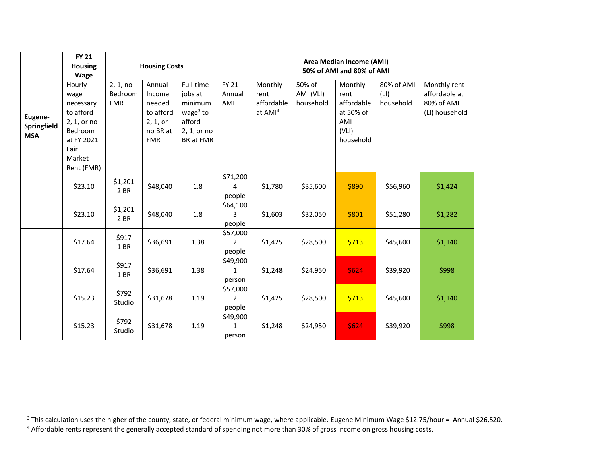|                                             | <b>FY 21</b><br><b>Housing</b><br><b>Wage</b>                                                                    |                                   | <b>Housing Costs</b>                                                          |                                                                                      | Area Median Income (AMI)<br>50% of AMI and 80% of AMI |                                                      |                                  |                                                                         |                                 |                                                               |  |
|---------------------------------------------|------------------------------------------------------------------------------------------------------------------|-----------------------------------|-------------------------------------------------------------------------------|--------------------------------------------------------------------------------------|-------------------------------------------------------|------------------------------------------------------|----------------------------------|-------------------------------------------------------------------------|---------------------------------|---------------------------------------------------------------|--|
| Eugene-<br><b>Springfield</b><br><b>MSA</b> | Hourly<br>wage<br>necessary<br>to afford<br>2, 1, or no<br>Bedroom<br>at FY 2021<br>Fair<br>Market<br>Rent (FMR) | 2, 1, no<br>Bedroom<br><b>FMR</b> | Annual<br>Income<br>needed<br>to afford<br>2, 1, or<br>no BR at<br><b>FMR</b> | Full-time<br>jobs at<br>minimum<br>wage $3$ to<br>afford<br>2, 1, or no<br>BR at FMR | <b>FY 21</b><br>Annual<br>AMI                         | Monthly<br>rent<br>affordable<br>at AMI <sup>4</sup> | 50% of<br>AMI (VLI)<br>household | Monthly<br>rent<br>affordable<br>at 50% of<br>AMI<br>(VLI)<br>household | 80% of AMI<br>(LI)<br>household | Monthly rent<br>affordable at<br>80% of AMI<br>(LI) household |  |
|                                             | \$23.10                                                                                                          | \$1,201<br>2 BR                   | \$48,040                                                                      | $1.8\,$                                                                              | \$71,200<br>4<br>people                               | \$1,780                                              | \$35,600                         | \$890                                                                   | \$56,960                        | \$1,424                                                       |  |
|                                             | \$23.10                                                                                                          | \$1,201<br>2 BR                   | \$48,040                                                                      | 1.8                                                                                  | \$64,100<br>3<br>people                               | \$1,603                                              | \$32,050                         | \$801                                                                   | \$51,280                        | \$1,282                                                       |  |
|                                             | \$17.64                                                                                                          | \$917<br>1BR                      | \$36,691                                                                      | 1.38                                                                                 | \$57,000<br>$\overline{2}$<br>people                  | \$1,425                                              | \$28,500                         | \$713                                                                   | \$45,600                        | \$1,140                                                       |  |
|                                             | \$17.64                                                                                                          | \$917<br>1BR                      | \$36,691                                                                      | 1.38                                                                                 | \$49,900<br>$\mathbf{1}$<br>person                    | \$1,248                                              | \$24,950                         | \$624                                                                   | \$39,920                        | \$998                                                         |  |
|                                             | \$15.23                                                                                                          | \$792<br>Studio                   | \$31,678                                                                      | 1.19                                                                                 | \$57,000<br>$\overline{2}$<br>people                  | \$1,425                                              | \$28,500                         | \$713                                                                   | \$45,600                        | \$1,140                                                       |  |
|                                             | \$15.23                                                                                                          | \$792<br>Studio                   | \$31,678                                                                      | 1.19                                                                                 | \$49,900<br>1<br>person                               | \$1,248                                              | \$24,950                         | \$624                                                                   | \$39,920                        | \$998                                                         |  |

<sup>&</sup>lt;sup>3</sup> This calculation uses the higher of the county, state, or federal minimum wage, where applicable. Eugene Minimum Wage \$12.75/hour = Annual \$26,520.

<sup>&</sup>lt;sup>4</sup> Affordable rents represent the generally accepted standard of spending not more than 30% of gross income on gross housing costs.